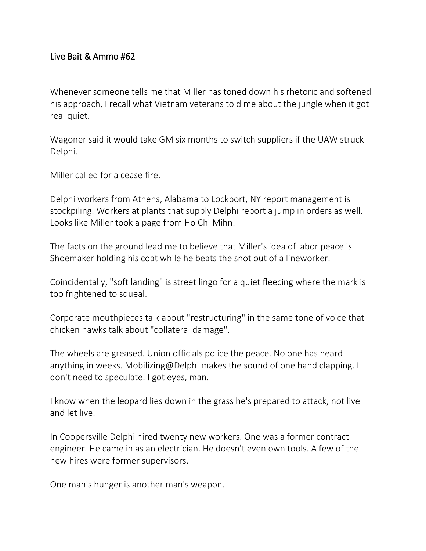## Live Bait & Ammo #62

Whenever someone tells me that Miller has toned down his rhetoric and softened his approach, I recall what Vietnam veterans told me about the jungle when it got real quiet.

Wagoner said it would take GM six months to switch suppliers if the UAW struck Delphi.

Miller called for a cease fire.

Delphi workers from Athens, Alabama to Lockport, NY report management is stockpiling. Workers at plants that supply Delphi report a jump in orders as well. Looks like Miller took a page from Ho Chi Mihn.

The facts on the ground lead me to believe that Miller's idea of labor peace is Shoemaker holding his coat while he beats the snot out of a lineworker.

Coincidentally, "soft landing" is street lingo for a quiet fleecing where the mark is too frightened to squeal.

Corporate mouthpieces talk about "restructuring" in the same tone of voice that chicken hawks talk about "collateral damage".

The wheels are greased. Union officials police the peace. No one has heard anything in weeks. Mobilizing@Delphi makes the sound of one hand clapping. I don't need to speculate. I got eyes, man.

I know when the leopard lies down in the grass he's prepared to attack, not live and let live.

In Coopersville Delphi hired twenty new workers. One was a former contract engineer. He came in as an electrician. He doesn't even own tools. A few of the new hires were former supervisors.

One man's hunger is another man's weapon.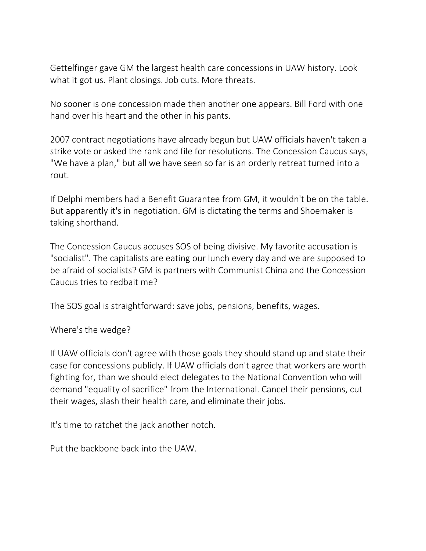Gettelfinger gave GM the largest health care concessions in UAW history. Look what it got us. Plant closings. Job cuts. More threats.

No sooner is one concession made then another one appears. Bill Ford with one hand over his heart and the other in his pants.

2007 contract negotiations have already begun but UAW officials haven't taken a strike vote or asked the rank and file for resolutions. The Concession Caucus says, "We have a plan," but all we have seen so far is an orderly retreat turned into a rout.

If Delphi members had a Benefit Guarantee from GM, it wouldn't be on the table. But apparently it's in negotiation. GM is dictating the terms and Shoemaker is taking shorthand.

The Concession Caucus accuses SOS of being divisive. My favorite accusation is "socialist". The capitalists are eating our lunch every day and we are supposed to be afraid of socialists? GM is partners with Communist China and the Concession Caucus tries to redbait me?

The SOS goal is straightforward: save jobs, pensions, benefits, wages.

Where's the wedge?

If UAW officials don't agree with those goals they should stand up and state their case for concessions publicly. If UAW officials don't agree that workers are worth fighting for, than we should elect delegates to the National Convention who will demand "equality of sacrifice" from the International. Cancel their pensions, cut their wages, slash their health care, and eliminate their jobs.

It's time to ratchet the jack another notch.

Put the backbone back into the UAW.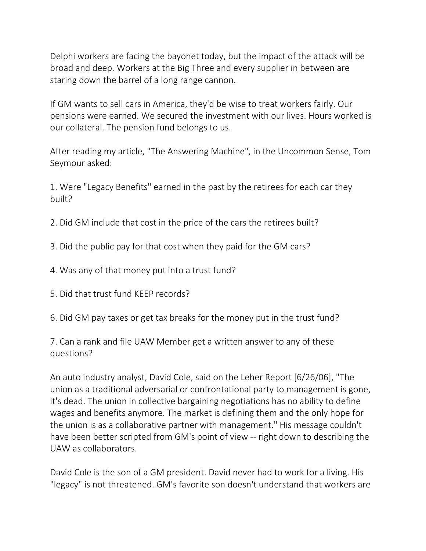Delphi workers are facing the bayonet today, but the impact of the attack will be broad and deep. Workers at the Big Three and every supplier in between are staring down the barrel of a long range cannon.

If GM wants to sell cars in America, they'd be wise to treat workers fairly. Our pensions were earned. We secured the investment with our lives. Hours worked is our collateral. The pension fund belongs to us.

After reading my article, "The Answering Machine", in the Uncommon Sense, Tom Seymour asked:

1. Were "Legacy Benefits" earned in the past by the retirees for each car they built?

- 2. Did GM include that cost in the price of the cars the retirees built?
- 3. Did the public pay for that cost when they paid for the GM cars?
- 4. Was any of that money put into a trust fund?
- 5. Did that trust fund KEEP records?
- 6. Did GM pay taxes or get tax breaks for the money put in the trust fund?

7. Can a rank and file UAW Member get a written answer to any of these questions?

An auto industry analyst, David Cole, said on the Leher Report [6/26/06], "The union as a traditional adversarial or confrontational party to management is gone, it's dead. The union in collective bargaining negotiations has no ability to define wages and benefits anymore. The market is defining them and the only hope for the union is as a collaborative partner with management." His message couldn't have been better scripted from GM's point of view -- right down to describing the UAW as collaborators.

David Cole is the son of a GM president. David never had to work for a living. His "legacy" is not threatened. GM's favorite son doesn't understand that workers are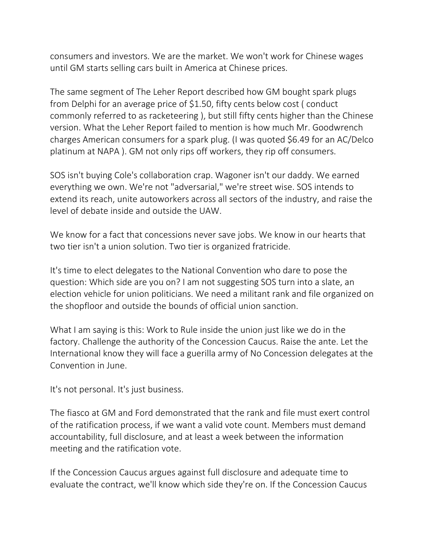consumers and investors. We are the market. We won't work for Chinese wages until GM starts selling cars built in America at Chinese prices.

The same segment of The Leher Report described how GM bought spark plugs from Delphi for an average price of \$1.50, fifty cents below cost ( conduct commonly referred to as racketeering ), but still fifty cents higher than the Chinese version. What the Leher Report failed to mention is how much Mr. Goodwrench charges American consumers for a spark plug. (I was quoted \$6.49 for an AC/Delco platinum at NAPA ). GM not only rips off workers, they rip off consumers.

SOS isn't buying Cole's collaboration crap. Wagoner isn't our daddy. We earned everything we own. We're not "adversarial," we're street wise. SOS intends to extend its reach, unite autoworkers across all sectors of the industry, and raise the level of debate inside and outside the UAW.

We know for a fact that concessions never save jobs. We know in our hearts that two tier isn't a union solution. Two tier is organized fratricide.

It's time to elect delegates to the National Convention who dare to pose the question: Which side are you on? I am not suggesting SOS turn into a slate, an election vehicle for union politicians. We need a militant rank and file organized on the shopfloor and outside the bounds of official union sanction.

What I am saying is this: Work to Rule inside the union just like we do in the factory. Challenge the authority of the Concession Caucus. Raise the ante. Let the International know they will face a guerilla army of No Concession delegates at the Convention in June.

It's not personal. It's just business.

The fiasco at GM and Ford demonstrated that the rank and file must exert control of the ratification process, if we want a valid vote count. Members must demand accountability, full disclosure, and at least a week between the information meeting and the ratification vote.

If the Concession Caucus argues against full disclosure and adequate time to evaluate the contract, we'll know which side they're on. If the Concession Caucus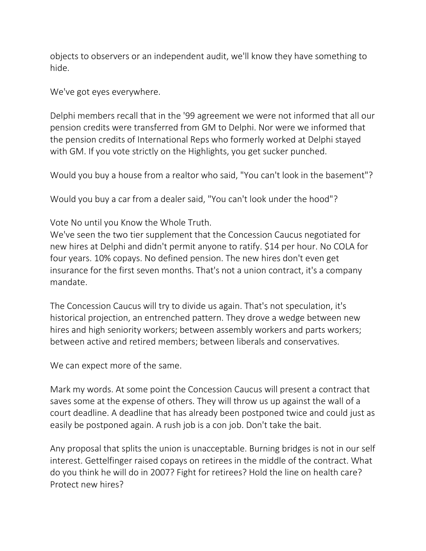objects to observers or an independent audit, we'll know they have something to hide.

We've got eyes everywhere.

Delphi members recall that in the '99 agreement we were not informed that all our pension credits were transferred from GM to Delphi. Nor were we informed that the pension credits of International Reps who formerly worked at Delphi stayed with GM. If you vote strictly on the Highlights, you get sucker punched.

Would you buy a house from a realtor who said, "You can't look in the basement"?

Would you buy a car from a dealer said, "You can't look under the hood"?

Vote No until you Know the Whole Truth.

We've seen the two tier supplement that the Concession Caucus negotiated for new hires at Delphi and didn't permit anyone to ratify. \$14 per hour. No COLA for four years. 10% copays. No defined pension. The new hires don't even get insurance for the first seven months. That's not a union contract, it's a company mandate.

The Concession Caucus will try to divide us again. That's not speculation, it's historical projection, an entrenched pattern. They drove a wedge between new hires and high seniority workers; between assembly workers and parts workers; between active and retired members; between liberals and conservatives.

We can expect more of the same.

Mark my words. At some point the Concession Caucus will present a contract that saves some at the expense of others. They will throw us up against the wall of a court deadline. A deadline that has already been postponed twice and could just as easily be postponed again. A rush job is a con job. Don't take the bait.

Any proposal that splits the union is unacceptable. Burning bridges is not in our self interest. Gettelfinger raised copays on retirees in the middle of the contract. What do you think he will do in 2007? Fight for retirees? Hold the line on health care? Protect new hires?